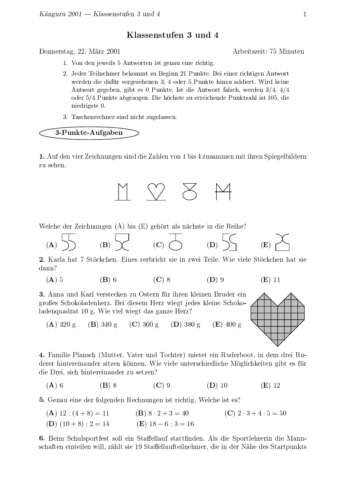## Klassenstufen 3 und 4

Donnerstag, 22. März 2001

- 1. Von den jeweils 5 Antworten ist genau eine richtig.
- 2. Jeder Teilnehmer bekommt zu Beginn 21 Punkte. Bei einer richtigen Antwort werden die dafür vorgesehenen 3, 4 oder 5 Punkte hinzu addiert. Wird keine Antwort gegeben, gibt es 0 Punkte. Ist die Antwort falsch, werden 3/4, 4/4 oder 5/4 Punkte abgezogen. Die höchste zu erreichende Punktzahl ist 105, die niedrigste 0.
- 3. Taschenrechner sind nicht zugelassen.

3-Punkte-Aufgaben

1. Auf den vier Zeichnungen sind die Zahlen von 1 bis 4 zusammen mit ihren Spiegelbildern zu sehen.



Welche der Zeichnungen (A) bis (E) gehört als nächste in die Reihe?

$$
\textbf{(A)}\hspace{0.2cm}\overline{\bigtriangledown\hspace{-0.2cm}\bigtriangledown\hspace{-0.2cm}\bigtriangledown\hspace{-0.2cm}\bigtriangledown\hspace{-0.2cm}\bigtriangledown\hspace{-0.2cm}\bigtriangledown\hspace{-0.2cm}\bigtriangledown\hspace{-0.2cm}\bigtriangledown\hspace{-0.2cm}\bigtriangledown\hspace{-0.2cm}\bigtriangledown\hspace{-0.2cm}\bigtriangledown\hspace{-0.2cm}\bigtriangledown\hspace{-0.2cm}\bigtriangledown\hspace{-0.2cm}\bigtriangledown\hspace{-0.2cm}\bigtriangledown\hspace{-0.2cm}\bigtriangledown\hspace{-0.2cm}\bigtriangledown\hspace{-0.2cm}\bigtriangledown\hspace{-0.2cm}\bigtriangledown\hspace{-0.2cm}\bigtriangledown\hspace{-0.2cm}\bigtriangledown\hspace{-0.2cm}\bigtriangledown\hspace{-0.2cm}\bigtriangledown\hspace{-0.2cm}\bigtriangledown\hspace{-0.2cm}\bigtriangledown\hspace{-0.2cm}\bigtriangledown\hspace{-0.2cm}\bigtriangledown\hspace{-0.2cm}\bigtriangledown\hspace{-0.2cm}\bigtriangledown\hspace{-0.2cm}\bigtriangledown\hspace{-0.2cm}\bigtriangledown\hspace{-0.2cm}\bigtriangledown\hspace{-0.2cm}\bigtriangledown\hspace{-0.2cm}\bigtriangledown\hspace{-0.2cm}\bigtriangledown\hspace{-0.2cm}\bigtriangledown\hspace{-0.2cm}\bigtriangledown\hspace{-0.2cm}\bigtriangledown\hspace{-0.2cm}\bigtriangledown\hspace{-0.2cm}\bigtriangledown\hspace{-0.2cm}\bigtriangledown\hspace{-0.2cm}\bigtriangledown\hspace{-0.2cm}\bigtriangledown\hspace{-0.2cm}\bigtriangledown\hspace{-0.2cm}\bigtriangledown\hspace{-0.2cm}\bigtriangledown\hspace{-0.2cm}\bigtriangledown\hspace{-0.2cm}\bigtriangledown\hspace{-0.2cm}\bigtriangledown\hspace{-0.2cm}\bigtriangledown\hspace{-0.2cm}\bigtriangledown\hspace{-0.2cm}\bigtriangledown\hspace{-0.2cm}\bigtriangledown\hspace{-0.2cm}\bigtriangledown\hspace{-0.2cm}\bigtriangledown\hspace{-0.2cm}\bigtriangledown\hspace{-0.2cm}\bigtriangledown\hspace{-0.2cm}\big
$$

2. Karla hat 7 Stöckchen. Eines zerbricht sie in zwei Teile. Wie viele Stöckchen hat sie dann?

$$
(A) 5 \t\t (B) 6 \t\t (C) 8 \t\t (D) 9 \t\t (E) 11
$$

3. Anna und Karl verstecken zu Ostern für ihren kleinen Bruder ein großes Schokoladenherz. Bei diesem Herz wiegt jedes kleine Schokoladenquadrat 10 g. Wie viel wiegt das ganze Herz?



(C) 360 g (D) 380 g  $(E)$  400 g  $(A)$  320 g  $(B) 340 g$ 

4. Familie Plansch (Mutter, Vater und Tochter) mietet ein Ruderboot, in dem drei Ruderer hintereinander sitzen können. Wie viele unterschiedliche Möglichkeiten gibt es für die Drei, sich hintereinander zu setzen?

 $(\mathbf{B})$  8  $(A)$  6  $(C)$  9  $(D)$  10  $(E)$  12

**5.** Genau eine der folgenden Rechnungen ist richtig. Welche ist es?

(C)  $2 \cdot 3 + 4 \cdot 5 = 50$  $(A) 12 : (4 + 8) = 11$  $(B) 8 \cdot 2 + 3 = 40$ (**E**)  $18 - 6$  :  $3 = 16$ (D)  $(10+8): 2 = 14$ 

6. Beim Schulsportfest soll ein Staffellauf stattfinden. Als die Sportlehrerin die Mannschaften einteilen will, zählt sie 19 Staffellaufteilnehmer, die in der Nähe des Startpunkts

Arbeitszeit: 75 Minuten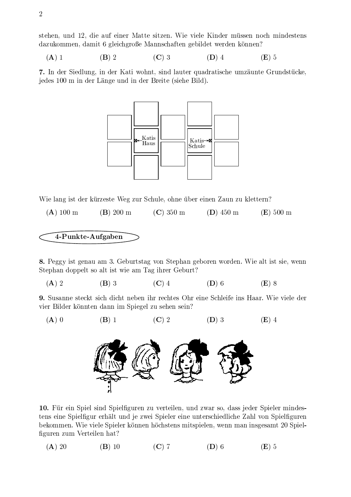stehen, und 12, die auf einer Matte sitzen. Wie viele Kinder müssen noch mindestens dazukommen, damit 6 gleichgroße Mannschaften gebildet werden können?

 $(A)$  1  $(B)$  2  $(C)$  3  $(D)$  4  $(E)$  5

7. In der Siedlung, in der Kati wohnt, sind lauter quadratische umzäunte Grundstücke, jedes 100 m in der Länge und in der Breite (siehe Bild).



Wie lang ist der kürzeste Weg zur Schule, ohne über einen Zaun zu klettern?

 $(A)$  100 m  $(B)$  200 m  $(C)$  350 m  $(D)$  450 m  $(E)$  500 m

4-Punkte-Aufgaben

 $(B)$  1

 $(A)$  0

8. Peggy ist genau am 3. Geburtstag von Stephan geboren worden. Wie alt ist sie, wenn Stephan doppelt so alt ist wie am Tag ihrer Geburt?

 $(C)$  4  $(A)$  2  $(B)$  3  $(D)$  6  $(E)$  8

 $(C)$  2

**9.** Susanne steckt sich dicht neben ihr rechtes Ohr eine Schleife ins Haar. Wie viele der vier Bilder könnten dann im Spiegel zu sehen sein?

 $(D)$  3

 $(E)$  4



10. Für ein Spiel sind Spielfiguren zu verteilen, und zwar so, dass jeder Spieler mindestens eine Spielfigur erhält und je zwei Spieler eine unterschiedliche Zahl von Spielfiguren bekommen. Wie viele Spieler können höchstens mitspielen, wenn man insgesamt 20 Spielfiguren zum Verteilen hat?

 $(A)$  20  $(B)$  10  $(C)$  7  $(D)$  6  $(E)$  5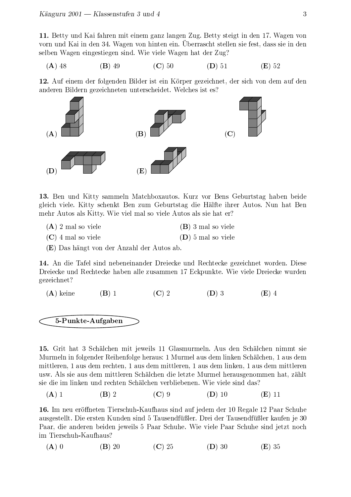11. Betty und Kai fahren mit einem ganz langen Zug. Betty steigt in den 17. Wagen von vorn und Kai in den 34. Wagen von hinten ein. Überrascht stellen sie fest, dass sie in den selben Wagen eingestiegen sind. Wie viele Wagen hat der Zug?

$$
(A) 48 \t\t (B) 49 \t\t (C) 50 \t\t (D) 51 \t\t (E) 52
$$

12. Auf einem der folgenden Bilder ist ein Körper gezeichnet, der sich von dem auf den anderen Bildern gezeichneten unterscheidet. Welches ist es?



13. Ben und Kitty sammeln Matchboxautos. Kurz vor Bens Geburtstag haben beide gleich viele. Kitty schenkt Ben zum Geburtstag die Hälfte ihrer Autos. Nun hat Ben mehr Autos als Kitty. Wie viel mal so viele Autos als sie hat er?

- $(A)$  2 mal so viele  $(B)$  3 mal so viele
- $(C)$  4 mal so viele  $(D)$  5 mal so viele
- (E) Das hängt von der Anzahl der Autos ab.

14. An die Tafel sind nebeneinander Dreiecke und Rechtecke gezeichnet worden. Diese Dreiecke und Rechtecke haben alle zusammen 17 Eckpunkte. Wie viele Dreiecke wurden gezeichnet?

 $(C)$  2  $(D)$  3  $(A)$  keine  $(B)$  1  $(E)$  4

5-Punkte-Aufgaben

15. Grit hat 3 Schälchen mit jeweils 11 Glasmurmeln. Aus den Schälchen nimmt sie Murmeln in folgender Reihenfolge heraus: 1 Murmel aus dem linken Schälchen, 1 aus dem mittleren, 1 aus dem rechten, 1 aus dem mittleren, 1 aus dem linken, 1 aus dem mittleren usw. Als sie aus dem mittleren Schälchen die letzte Murmel herausgenommen hat, zählt sie die im linken und rechten Schälchen verbliebenen. Wie viele sind das?

 $(C)$  9  $(A)$  1  $(B)$  2  $(D)$  10  $(E)$  11

16. Im neu eröffneten Tierschuh-Kaufhaus sind auf jedem der 10 Regale 12 Paar Schuhe ausgestellt. Die ersten Kunden sind 5 Tausendfüßler. Drei der Tausendfüßler kaufen je 30 Paar, die anderen beiden jeweils 5 Paar Schuhe. Wie viele Paar Schuhe sind jetzt noch im Tierschuh-Kaufhaus?

 $(A)$  0  $(C)$  25  $(B)$  20  $(D)$  30  $(E)35$